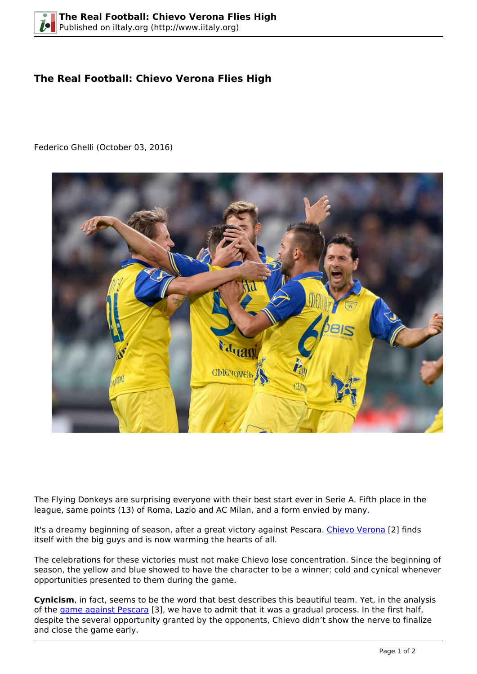## **The Real Football: Chievo Verona Flies High**

Federico Ghelli (October 03, 2016)



The Flying Donkeys are surprising everyone with their best start ever in Serie A. Fifth place in the league, same points (13) of Roma, Lazio and AC Milan, and a form envied by many.

It's a dreamy beginning of season, after a great victory against Pescara. [Chievo Verona](http://www.chievoverona.it/en) [2] finds itself with the big guys and is now warming the hearts of all.

The celebrations for these victories must not make Chievo lose concentration. Since the beginning of season, the yellow and blue showed to have the character to be a winner: cold and cynical whenever opportunities presented to them during the game.

**Cynicism**, in fact, seems to be the word that best describes this beautiful team. Yet, in the analysis of the [game against Pescara](http://www.espnfc.com/match?gameId=461230) [3], we have to admit that it was a gradual process. In the first half, despite the several opportunity granted by the opponents, Chievo didn't show the nerve to finalize and close the game early.